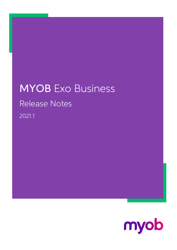## MYOB Exo Business Release Notes 2021.1

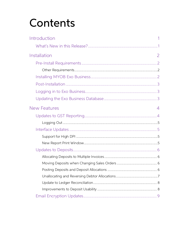# Contents

| Introduction        |   |
|---------------------|---|
|                     |   |
| Installation        | 2 |
|                     |   |
|                     |   |
|                     |   |
|                     |   |
|                     |   |
|                     |   |
| <b>New Features</b> | 4 |
|                     |   |
|                     |   |
|                     |   |
|                     |   |
|                     |   |
|                     |   |
|                     |   |
|                     |   |
|                     |   |
|                     |   |
|                     |   |
|                     |   |
|                     |   |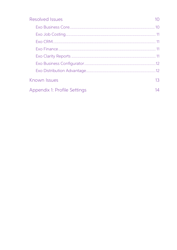| Resolved Issues              |                 |
|------------------------------|-----------------|
|                              |                 |
|                              |                 |
|                              |                 |
|                              |                 |
|                              |                 |
|                              |                 |
|                              |                 |
| Known Issues                 | 13 <sup>°</sup> |
| Appendix 1: Profile Settings | 14              |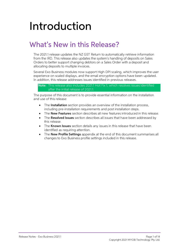# <span id="page-3-0"></span>Introduction

## <span id="page-3-1"></span>What's New in this Release?

The 2021.1 release updates the NZ GST Return to automatically retrieve information from the IRD. This release also updates the system's handling of deposits on Sales Orders to better support changing debtors on a Sales Ord

Several Exo Business modules now support High DPI scaling, which improves the user experience on scaled displays, and the email encryption options have been updated.<br>In addition, this release addresses issues identified in

Note: This release also includes 2021.1 Hot Fix 1, which resolves issues identified after the initial release of 2021.1.

The purpose of this document is to provide essential information on the installation and use of this release:

- The **Installation** section provides an overview of the installation process, including pre-installation requirements and post installation steps.
- The **New Features** section describes all new features introduced in this release.
- The **Resolved Issues** section describes all issues that have been addressed by this release.
- The **Known Issues** section details any issues in this release that have been identified as requiring attention.
- The **New Profile Settings** appendix at the end of this document summarises all changes to Exo Business profile settings included in this release.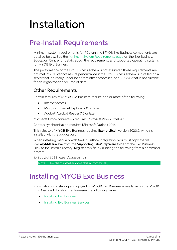# <span id="page-4-0"></span>Installation

## <span id="page-4-1"></span>Pre-Install Requirements

Minimum system requirements for PCs running MYOB Exo Business components are detailed below. See the <u>Minimum System Requirements page</u> on the Exo Business Education Centre for details about the requirements and supported

The performance of the Exo Business system is not assured if these requirements are not met. MYOB cannot assure performance if the Exo Business system is installed on a server that is already under load from other processe

#### <span id="page-4-2"></span>Other Requirements

Certain features of MYOB Exo Business require one or more of the following:

- Internet access
- Microsoft Internet Explorer 7.0 or later
- Adobe® Acrobat Reader 7.0 or later

Microsoft Office connection requires Microsoft Word/Excel 2016.

Contact synchronisation requires Microsoft Outlook 2016.

This release of MYOB Exo Business requires **ExonetLib.dll** version 2020.2, which is installed with the application.

When installing manually with 64-bit Outlook integration, you must copy the file RwEasyMAPI64.exe from the Supporting Files\RapWare folder of the Exo Business DVD to the install directory. Register this file by running the following from a command prompt:

```
RwEasyMAPI64.exe /regserver
```
Note: The client installer does this automatically.

## <span id="page-4-3"></span>Installing MYOB Exo Business

Information on installing and upgrading MYOB Exo Business is available on the MYOB Exo Business Education Centre see the following pages:

- [Installing Exo Business](http://help.myob.com.au/exo/installexobusiness.htm)
- [Installing Exo Business Services](http://help.myob.com.au/exo/installexobusinessservices.htm)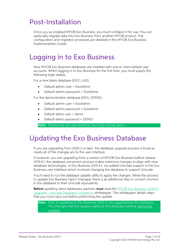## <span id="page-5-0"></span>Post-Installation

Once you've installed MYOB Exo Business, you must configure it for use. You can optionally migrate data into Exo Business from another MYOB product. The configuration and migration processes are detailed in the MYOB Exo Bu

## <span id="page-5-1"></span>Logging in to Exo Business

New MYOB Exo Business databases are installed with one or more default user<br>accounts. When logging in to Exo Business for the first time, you must supply the<br>following login details:

For a new blank database (EXO LIVE):

- $\bullet$  Default admin user = ExoAdmin
- Default admin password = ExoAdmin

For the demonstration database (EXO DEMO):

- Default admin user = ExoAdmin
- $\bullet$  Default admin password = ExoAdmin
- Default demo user = demo
- Default demo password = DEMO

Note: Passwords are case-sensitive, but login names aren't.

### <span id="page-5-2"></span>Updating the Exo Business Database

If you are upgrading from 2020.2 or later, the database upgrade process is trivial as<br>nearly all of the changes are to the user interface.<br>If however, you are upgrading from a version of MYOB Exo Business before release<br>20

You'll need to run the database update utility to apply the changes. While the process to update Exo Business hasn't changed, there is an additional step to convert columns in the database to their Unicode equivalents.

Before updating client databases, partners must read the <u>MYOB Exo Business 2019.4.1</u><br>Upgrade - Unicode Database Conversion whitepaper. The whitepaper details steps that you must carry out before performing the update.

## Note: Prior to updating to Exo Business 2020.3, you <u>must</u> backup the database.<br>The changes that the update makes to the database schema cannot be undone.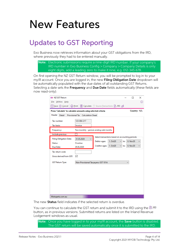## <span id="page-6-0"></span>New Features

## <span id="page-6-1"></span>Updates to GST Reporting

Exo Business now retrieves information about your GST obligations from the IRD, where previously they had to be entered manually.

Note: Electronic submissions require a nine-digit IRD number. If your company's IRD number in Exo Business Config > Company > Company Details is only eight digits, add a leading zero to make it nine, e.g. 012-345-678.

On first opening the NZ GST Return window, you will be prompted to log in to your mylR account. Once you are logged in, the new **Filing Obligation Date** dropdown will be automatically populated with the due dates of all ou

| <b>EB NZ GST Return</b>                                                                          | □            | ×            |
|--------------------------------------------------------------------------------------------------|--------------|--------------|
| File Utilities Help                                                                              |              | ⊙            |
|                                                                                                  |              |              |
| Press 'Calculate' to calculate amounts using selected criteria                                   | Country: NZL |              |
| Header<br>Detail<br>Provisional Tax   Calculation Sheet                                          |              |              |
| Tax number:<br>123-084-217                                                                       |              |              |
| Invoice<br>Tax basis:                                                                            |              |              |
| Two monthly - periods ending odd months<br>Frequency:                                            |              |              |
| Include previous                                                                                 |              |              |
| Select transactions based on accounting periods:<br><b>Filing Obligation Date:</b><br>31.05.2020 |              |              |
| 1. Oct20<br>Debtor ages:<br>to:<br>Overdue<br>Status:                                            | 0. Nov20     |              |
| 1. Oct20<br><b>Creditor ages:</b><br>$\checkmark$<br>to:<br>29.06.2020<br>Due Date:              | 0. Nov20     | $\checkmark$ |
| Tax return code:                                                                                 |              |              |
| Gross derived from GST:<br>☑                                                                     |              |              |
| <b>GST Return Type:</b><br>Non-Provisional Taxpayers: GST 101A                                   |              |              |
|                                                                                                  |              |              |
|                                                                                                  |              |              |
|                                                                                                  |              |              |
|                                                                                                  |              |              |
|                                                                                                  |              |              |
|                                                                                                  |              |              |
|                                                                                                  |              |              |
| Motopartz.com.au                                                                                 |              |              |

The new **Status** field indicates if the selected return is overdue.

You can continue to calculate the GST return and submit it to the IRD using the  $\mathbb{B}$  IRD button, as in previous versions. Submitted returns are listed on the Inland Revenue Lodgement windows as usual.

Note: Once you have logged in to your myIR account, the Save button is disabled.<br>The GST return will be saved automatically once it is submitted to the IRD.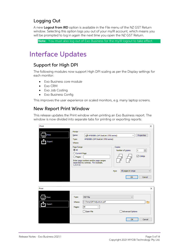#### <span id="page-7-0"></span>Logging Out

A new **Logout from IRD** option is available in the File menu of the NZ GST Return window. Selecting this option logs you out of your mylR account, which means you will be prompted to log in again the next time you open the

Note: You must also log out of Exo Business for the myIR logout to take effect.

## <span id="page-7-1"></span>Interface Updates

#### <span id="page-7-2"></span>Support for High DPI

The following modules now support High DPI scaling as per the Display settings for each monitor:

- Exo Business core module
- Exo CRM
- Exo Job Costing
- 

• Exo Business Config<br>This improves the user experience on scaled monitors, e.g. many laptop screens.

#### <span id="page-7-3"></span>New Report Print Window

This release updates the Print window when printing an Exo Business report. The window is now divided into separate tabs for printing or exporting reports:

| Print           |                                                                                                                                                                                                                                 | ×                                          |
|-----------------|---------------------------------------------------------------------------------------------------------------------------------------------------------------------------------------------------------------------------------|--------------------------------------------|
| Print<br>Export | Printer<br>HP0B5BB1 (HP DeskJet 3700 series)<br>Name:<br>$\checkmark$<br>HP0B5BB1 (HP DeskJet 3700 series)<br>Type:<br>Where:                                                                                                   | Properties                                 |
|                 | Page Range-<br>Copies-<br>$\odot$ All<br>Number of copies:<br>◯ Current Page<br>$O$ Pages<br>Enter page numbers and/or page ranges<br>separated by commas. For example,<br>$1, 3, 5 - 12.$<br>All pages in range<br>Print<br>OK | $\div$<br>1<br>$\boxdot$ Collate<br>Cancel |
| Print           |                                                                                                                                                                                                                                 | ×                                          |
| Print<br>Export | Type:<br>PDF File<br>$\checkmark$<br>C:\Temp\DRTAdjustList.pdf<br>Where:<br>All<br>Pages:<br>$\checkmark$<br>Open File<br>Advanced Options<br>OK                                                                                | Cancel                                     |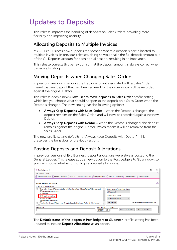## <span id="page-8-4"></span><span id="page-8-0"></span>Updates to Deposits

This release improves the handling of deposits on Sales Orders, providing more flexibility and improving usability.

#### <span id="page-8-1"></span>Allocating Deposits to Multiple Invoices

MYOB Exo Business now supports the scenario where a deposit is part-allocated to<br>multiple invoices. In previous releases, doing so would take the full deposit amount out<br>of the GL Deposits account for each part allocation,

This release corrects this behaviour, so that the deposit amount is always correct when partially allocating.

#### <span id="page-8-5"></span><span id="page-8-2"></span>Moving Deposits when Changing Sales Orders

In previous versions, changing the Debtor account associated with a Sales Order meant that any deposit that had been entered for the order would still be recorded against the original Debtor.

This release adds a new **Allow user to move deposits to Sales Order** profile setting, which lets you choose what should happen to the deposit on a Sales Order when the Debtor is changed. The new setting has the following o

- Always Keep Deposits with Sales Order when the Debtor is changed, the deposit remains on the Sales Order, and will now be recorded against the new Debtor.
- Always Keep Deposits with Debtor  $-$  when the Debtor is changed, the deposit remains against the original Debtor, which means it will be removed from the Sales Order.

The new profile setting defaults to "Always Keep Deposits with Debtor"—this preserves the behaviour of previous versions.

#### <span id="page-8-3"></span>Posting Deposits and Deposit Allocations

In previous versions of Exo Business, deposit allocations were always posted to the<br>General Ledger. This release adds a new option to the Post Ledgers to GL window, so<br>you can choose whether or not to post deposit allocati

| <b>EB</b> Post Ledgers to GL                                                                                                                                                                                                                                                                                                                                                                                                                                                                                                                                | × |
|-------------------------------------------------------------------------------------------------------------------------------------------------------------------------------------------------------------------------------------------------------------------------------------------------------------------------------------------------------------------------------------------------------------------------------------------------------------------------------------------------------------------------------------------------------------|---|
| Utilities Help<br>File                                                                                                                                                                                                                                                                                                                                                                                                                                                                                                                                      | ω |
| Setup GL Control # Maintain Currencies (2) Data Verification A Period Statuses < والله Stup GL Control والله View Unposted Trx • < والله Reload GL Post Run والله Stup GL Control # Maintain Currencies (2) Data Verificatio                                                                                                                                                                                                                                                                                                                                |   |
| <b>GL Post Run Selection Criteria</b><br>Details for New GL Post Run-                                                                                                                                                                                                                                                                                                                                                                                                                                                                                       |   |
| □ ○ Debtor (Invoices and Adjustments, Deposit Allocations, Cost of Sales, Realise FX Gains/Losses)<br>Source Ledgers Period / Date Range<br>□ Invoices and Adjustments<br><b>All Unposted</b><br>$\Box$ Receipts<br><b>Destination GL Period</b><br>○ Deposit Allocations<br>Source Ledger Period<br><b>MILLOSE OF BRIES</b><br>$\checkmark$<br>Realise FX Gains/Losses<br><b>Set Defaults</b><br>Generate and Process GL Post Run<br>E M Creditor (Invoices and Adjustments, Receipts, Stock Cost Variances, Realise FX Gains/Losses)<br>$\checkmark$<br>. |   |
| Description:<br>Date Stamp:<br>Initials:<br>Preview GL Post Run<br>New GL Post Run<br>02.02.2021<br>圃▼                                                                                                                                                                                                                                                                                                                                                                                                                                                      |   |

The Default status of the ledgers in Post ledgers to GL screen profile setting has been updated to include Deposit Allocations as an option.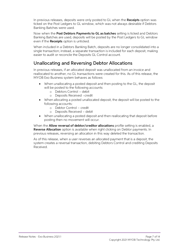In previous releases, deposits were only posted to GL when the **Receipts** option was ticked on the Post Ledgers to GL window, which was not always desirable if Debtors Banking Batches were used.

Now when the Post Debtors Payments to GL as batches setting is ticked and Debtors Banking Batches are used, deposits will be posted by the Post Ledgers to GL window even if the **Receipts** option is unticked.

When included in a Debtors Banking Batch, deposits are no longer consolidated into a single transaction; instead, a separate transaction is included for each deposit, making easier to audit or reconcile the Deposits GL Con

#### <span id="page-9-0"></span>Unallocating and Reversing Debtor Allocations

In previous releases, if an allocated deposit was unallocated from an invoice and reallocated to another, no GL transactions were created for this. As of this release, the MYOB Exo Business system behaves as follows:

- When unallocating a posted deposit and then posting to the GL, the deposit will be posted to the following accounts:
	- o Debtors Control debit
	- o Deposits Received credit
- When allocating a posted unallocated deposit, the deposit will be posted to the following accounts:
	- $\circ$  Debtor Control credit
	- $o$  Deposits Received debit
- When unallocating a posted deposit and then reallocating that deposit before posting then no movement will occur.

When the **Allow reversal of debtor/creditor allocations** profile setting is enabled, a Reverse Allocation option is available when right clicking on Debtor payments. In previous releases, reversing an allocation in this way deleted the transaction.

As of this release, when a user reverses an allocated payment that is a deposit, the<br>system creates a reversal transaction, debiting Debtors Control and crediting Deposits<br>Received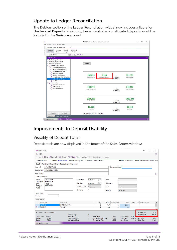#### <span id="page-10-0"></span>Update to Ledger Reconciliation

The Debtors section of the Ledger Reconciliation widget now includes a figure for Unallocated Deposits. Previously, the amount of any unallocated deposits would be included in the Variance amount.

| AA                                                                                                                      | MYOB Exo Accountant's Assistant - Demo Mode           |                            |                         |  | □ | $\times$                  |
|-------------------------------------------------------------------------------------------------------------------------|-------------------------------------------------------|----------------------------|-------------------------|--|---|---------------------------|
| Utilities Setup Window Help<br>Eile                                                                                     |                                                       |                            |                         |  |   |                           |
| Financial Period: 0. February 2021<br>$\checkmark$                                                                      |                                                       |                            |                         |  |   |                           |
| Menu Favourites<br><b>Business</b><br>Financial<br>Systems<br><b>Education</b><br><b>Checklists</b><br>Review<br>Centre |                                                       |                            |                         |  |   |                           |
| Integrity<br>Layouts: Default<br>同目·                                                                                    |                                                       |                            |                         |  |   |                           |
| $\mathbb{H}$<br>- 日<br>m                                                                                                |                                                       |                            |                         |  |   |                           |
| <b>End of Period</b><br><b>E Debtor Ledger Checklist</b>                                                                |                                                       |                            |                         |  |   | $\boldsymbol{\mathsf{x}}$ |
| <b>E</b> Creditor Ledger Checklist                                                                                      |                                                       |                            |                         |  |   |                           |
| E Stock Ledger Checklist                                                                                                | Refresh                                               |                            |                         |  |   |                           |
| General Ledger Checklist<br>C Complete All Transactions                                                                 |                                                       |                            |                         |  |   |                           |
| Reconcile Bank Accounts                                                                                                 |                                                       |                            |                         |  |   |                           |
| Nominate Closing Rates                                                                                                  |                                                       |                            |                         |  |   |                           |
| <b>O</b> Post Forex Variances<br>Post Sub-ledgers to GL                                                                 | $-$100$<br>\$31.239                                   |                            | \$31.139                |  |   |                           |
| <b>O</b> General Ledger Data Verification                                                                               | <b>DEBTORS CONTROL</b><br><b>UNALLOCATED DEPOSITS</b> | VARIANCE                   | <b>DEBTORS LEDGER</b>   |  |   |                           |
| <b>Ledger Reconciliation</b>                                                                                            |                                                       | Tolerance: \$5             |                         |  |   |                           |
| Check Trial Balance<br>O End of Period                                                                                  |                                                       |                            |                         |  |   |                           |
| Print Financial Reports                                                                                                 |                                                       |                            |                         |  |   |                           |
| <b>C</b> End Of Period                                                                                                  | \$49,970                                              |                            | \$49,970                |  |   |                           |
| -O Lock Ledger Periods                                                                                                  | <b>CREDITORS CONTROL</b>                              | VARIANCE<br>Tolerance: \$5 | <b>CREDITORS LEDGER</b> |  |   |                           |
|                                                                                                                         |                                                       |                            |                         |  |   |                           |
|                                                                                                                         |                                                       |                            |                         |  |   |                           |
|                                                                                                                         | \$308,230                                             |                            | \$308,230               |  |   |                           |
|                                                                                                                         | <b>STOCK CONTROL</b>                                  | VARIANCE                   | <b>STOCKLEDGER</b>      |  |   |                           |
|                                                                                                                         |                                                       | <b>Tolerance: \$5</b>      |                         |  |   |                           |
|                                                                                                                         | \$6,012                                               |                            | \$6,012                 |  |   |                           |
|                                                                                                                         | <b>WP CONTROL</b>                                     | VARIANCE                   | <b>WIP LEDGER</b>       |  |   |                           |
|                                                                                                                         |                                                       | Tolerance: \$5             |                         |  |   |                           |
| In Progress<br>Complete<br>Last Calculated: 03.02.2021 1:29:48 PM                                                       |                                                       |                            |                         |  |   |                           |
| End of Period End of Year   Tax Return                                                                                  |                                                       |                            |                         |  |   |                           |
| Motopartz.com.au<br>Demo<br>ExoAdmin                                                                                    |                                                       |                            |                         |  |   | ۰                         |

#### <span id="page-10-1"></span>Improvements to Deposit Usability

#### Visibility of Deposit Totals

Deposit totals are now displayed in the footer of the Sales Orders window:

| <b>EB Sales Orders</b>  |                                                                                       |                                      |                                   |                |            |                                                      |            |                            |                                    |                           |                                   | П | $\times$        |
|-------------------------|---------------------------------------------------------------------------------------|--------------------------------------|-----------------------------------|----------------|------------|------------------------------------------------------|------------|----------------------------|------------------------------------|---------------------------|-----------------------------------|---|-----------------|
| Eile Help               |                                                                                       |                                      |                                   |                |            |                                                      |            |                            |                                    |                           |                                   |   | $\omega$        |
| New                     | □ Save 図 Save & Exit ② Cancel   目 箇 습 Print ▼   Actions ▼   av Quick Supply a> Supply |                                      |                                   |                |            |                                                      |            |                            |                                    |                           |                                   |   |                 |
| Order #: 10023          |                                                                                       | <b>Status: Not Processed</b>         |                                   |                |            | Period: February 2021 Account: 9. MARKET PARTS       |            |                            | Phone: 02-8299 8063                |                           | Email: PARTS@MARKETPARTS.exam     |   |                 |
| <b>Details</b>          | Activities History Notes Transactions                                                 |                                      | Documents                         |                |            |                                                      |            |                            |                                    |                           |                                   |   |                 |
| Account:                | 9. MARKET PARTS                                                                       |                                      |                                   |                |            |                                                      |            | Campaign Wave:             |                                    |                           |                                   |   |                 |
|                         | Salesperson: 5. MALCOLM BREEN                                                         |                                      |                                   |                |            |                                                      |            |                            |                                    |                           |                                   |   |                 |
| Opportunity:            |                                                                                       |                                      |                                   |                |            |                                                      |            |                            |                                    |                           |                                   |   | ∞               |
| <b>Delivery Address</b> |                                                                                       |                                      |                                   |                |            |                                                      |            |                            |                                    |                           |                                   |   |                 |
| Street:                 | 215 EAST ST                                                                           |                                      |                                   | Order date:    | 13.02.2021 | $\blacksquare$                                       | AUD:       |                            |                                    |                           |                                   |   |                 |
| City/Town:<br>State:    | <b>HURSTVILLE</b><br><b>SYDNEY</b>                                                    |                                      |                                   | Due date:      | 13.02.2021 | $\blacksquare$                                       | Reference: |                            |                                    |                           |                                   |   |                 |
| Country:<br>Line 5:     | <b>AUSTRALIA</b>                                                                      |                                      |                                   | Default Loc #: | 1. Sydney  | $\sim$                                               | GST:       |                            | <b>Exclusive</b>                   |                           |                                   |   |                 |
| Line 6:                 |                                                                                       |                                      |                                   | On Hold:       | г          |                                                      |            |                            |                                    |                           |                                   |   |                 |
| <b>Extra Fields</b>     |                                                                                       |                                      |                                   |                |            |                                                      | Branch:    |                            | 0. SYDNEY                          | $\checkmark$              |                                   |   |                 |
| Cust o/n:               |                                                                                       |                                      |                                   |                |            |                                                      |            |                            |                                    |                           |                                   |   |                 |
|                         |                                                                                       |                                      |                                   |                |            |                                                      |            |                            |                                    |                           |                                   |   |                 |
| <b>Order Details</b>    |                                                                                       |                                      |                                   |                |            |                                                      |            |                            |                                    |                           |                                   |   | $\land$         |
| Stock Code<br>ALARM05   |                                                                                       | Description<br><b>SECURITY ALARM</b> |                                   |                |            | Qty<br>5                                             | 73.91      | @Price Discount (%)<br>0.0 | Total<br>369.55                    |                           | <b>Batch Code Analysis Codes</b>  |   |                 |
| ▤<br><b>FREIGHT</b>     |                                                                                       | <b>FREIGHT</b>                       |                                   |                |            | 1                                                    | 9.00       | 0.0                        | 9.00                               |                           |                                   |   |                 |
|                         |                                                                                       |                                      |                                   |                |            |                                                      |            |                            |                                    |                           |                                   |   |                 |
|                         | ALARM05 - SECURITY ALARM                                                              |                                      |                                   |                |            |                                                      |            |                            |                                    |                           | Deposit (%):                      |   | 24.02           |
| Unit of Sale:           | Each (1)                                                                              | Free Oty:                            | <b>Physical Qty:</b>              |                | 20<br>15   | <b>Base Price:</b>                                   |            | 73.91                      | <b>Total Weight:</b>               | 80,0000                   | <b>Deposit Total:</b>             |   | 100.00          |
| Weight:<br>Cubic:       | 7.0000<br>7.0000                                                                      |                                      | This Order Qty:<br>Committed Oty: |                | 5.<br>5    | <b>Discounted Unit Price:</b><br>Pre-tax line Total: |            | 73.91<br>369.55            | <b>Total Cubic:</b><br>Item Count: | 80,0000<br>$\overline{2}$ | <b>GST Total:</b><br>Order Total: |   | 37.85<br>416.40 |
| Motopartz.com.au        |                                                                                       |                                      |                                   |                |            |                                                      |            |                            |                                    |                           |                                   |   |                 |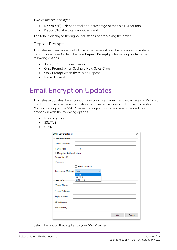<span id="page-11-1"></span>Two values are displayed:

- Deposit  $%$  deposit total as a percentage of the Sales Order total
- Deposit Total total deposit amount

The total is displayed throughout all stages of processing the order.

#### Deposit Prompts

This release gives more control over when users should be prompted to enter a deposit for a Sales Order. The new **Deposit Prompt** profile setting contains the following options:

- Always Prompt when Saving
- Only Prompt when Saving a New Sales Order
- Only Prompt when there is no Deposit
- Never Prompt

## <span id="page-11-0"></span>Email Encryption Updates

This release updates the encryption functions used when sending emails via SMTP, so<br>that Exo Business remains compatible with newer versions of TLS. The **Encryption**<br>**Method** setting on the SMTP Server Settings window has

- No encryption
- SSL/TLS
- **STARTTLS**

| <b>SMTP Server Settings</b> | ×               |
|-----------------------------|-----------------|
| <b>Connection Info</b>      |                 |
| <b>Server Address:</b>      |                 |
| Server Port:                | 0               |
| Requires Authentication     |                 |
| Server User ID:             |                 |
| Password:                   |                 |
|                             | Show character  |
| <b>Encryption Method:</b>   | None            |
|                             | None<br>SSL/TLS |
| User Info                   | <b>STARTTLS</b> |
| "From" Name                 |                 |
| "From" Address              |                 |
| <b>Reply Address</b>        |                 |
| <b>BCC Address</b>          |                 |
| <b>File Directory</b>       |                 |
|                             | Cancel<br>OK    |

Select the option that applies to your SMTP server.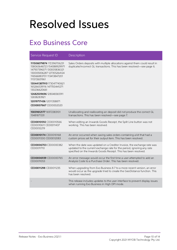## <span id="page-12-0"></span>Resolved Issues

## <span id="page-12-1"></span>Exo Business Core

| Service Request ID                                                                                                                                                                                                                                                                                                                     | Description                                                                                                                                                                                                         |
|----------------------------------------------------------------------------------------------------------------------------------------------------------------------------------------------------------------------------------------------------------------------------------------------------------------------------------------|---------------------------------------------------------------------------------------------------------------------------------------------------------------------------------------------------------------------|
| 111506079874 172396706231<br>158065646723 154088929971<br>147937396371 130005836321<br>130005836287 127355264124<br>116566883701 113413847201<br>111372601961<br>130441387910 173047740621<br>165266539116 147700441271<br>130236620661<br>12682509696 128048365911<br>12658283921<br>12019717436 12011358871<br>CE00007667 CE00002020 | Sales Orders deposits with multiple allocations against them could result in<br>duplicate/incorrect GL transactions. This has been resolved-see page 6.                                                             |
| 15839612177 16972383101<br>15481871331                                                                                                                                                                                                                                                                                                 | Unallocating and reallocating an deposit did not produce the correct GL<br>transactions. This has been resolved-see page 7.                                                                                         |
| CE00010592 CE00010566<br>CE00010611 CE00011437<br>CE00012219                                                                                                                                                                                                                                                                           | When editing an Inwards Goods Receipt, the Split Line button was not<br>working. This has been resolved.                                                                                                            |
| CE00010174 CE00010168<br>CE00011330 CE00012083                                                                                                                                                                                                                                                                                         | An error occurred when saving sales orders containing a kit that had a<br>custom prices set for their output item. This has been resolved.                                                                          |
| CE00006703 CE00000382<br>CE00011710                                                                                                                                                                                                                                                                                                    | When the date was updated on a Creditor Invoice, the exchange rate was<br>updated to the current exchange rate for the period, ignoring any rate<br>specified on the Inwards Goods Receipt. This has been resolved. |
| CE00006939 CE00000765<br>CE00011053                                                                                                                                                                                                                                                                                                    | An error message would occur the first time a user attempted to add an<br>Analysis Code to a Purchase Order. This has been resolved.                                                                                |
| CE00011298 CE00011235                                                                                                                                                                                                                                                                                                                  | When upgrading from Exo Business 8.7 to a more recent version, an error<br>would occur as the upgrade tried to create the GeoDistance function. This<br>has been resolved                                           |
|                                                                                                                                                                                                                                                                                                                                        | This release includes updates to the user interface to prevent display issues<br>when running Exo Business in High DPI mode.                                                                                        |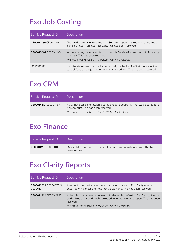## <span id="page-13-0"></span>Exo Job Costing

| Service Request ID    | Description                                                                                                                                                                   |
|-----------------------|-------------------------------------------------------------------------------------------------------------------------------------------------------------------------------|
| CE00012786 CE00012781 | The <b>Invoice Job &gt; Invoice Job with Sub Jobs</b> option caused errors and could<br>leave job lines in an incorrect state. This has been resolved.                        |
| CE00015007 CE00014966 | In some cases, the Analysis tab on the Job Details window was not displaying<br>any data. This has been resolved.<br>This issue was resolved in the 2021.1 Hot Fix 1 release. |
| 173855729721          | If a job's status was changed automatically by the Invoice Status update, the<br>control flags on the job were not correctly updated. This has been resolved.                 |

### <span id="page-13-1"></span>Exo CRM

| Service Request ID    | Description                                                                                                                                                                          |
|-----------------------|--------------------------------------------------------------------------------------------------------------------------------------------------------------------------------------|
| CE00014817 CE00014814 | It was not possible to assign a contact to an opportunity that was created for a<br>Non Account. This has been resolved.<br>This issue was resolved in the 2021.1 Hot Fix 1 release. |

## <span id="page-13-2"></span>Exo Finance

| Service Request ID    | <b>Description</b>                                                                            |
|-----------------------|-----------------------------------------------------------------------------------------------|
| CE00011150 CE00011119 | "Key violation" errors occurred on the Bank Reconciliation screen. This has<br>been resolved. |

## <span id="page-13-3"></span>Exo Clarity Reports

| Service Request ID                  | <b>Description</b>                                                                                                                                                                                                                        |
|-------------------------------------|-------------------------------------------------------------------------------------------------------------------------------------------------------------------------------------------------------------------------------------------|
| CE00010703 CE00007815<br>CE00010714 | It was not possible to have more than one instance of Exo Clarity open at<br>once-any instances after the first would hang. This has been resolved.                                                                                       |
| CE00014962 CE00014938               | If check box parameter type was not selected by default in Exo Clarity, it would<br>be disabled and could not be selected when running the report. This has been<br>resolved.<br>This issue was resolved in the 2021.1 Hot Fix 1 release. |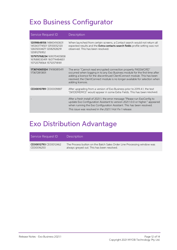## <span id="page-14-0"></span>Exo Business Configurator

| Service Request ID                                                                                                                                                                  | Description                                                                                                                                                                                                                                                                                                                     |
|-------------------------------------------------------------------------------------------------------------------------------------------------------------------------------------|---------------------------------------------------------------------------------------------------------------------------------------------------------------------------------------------------------------------------------------------------------------------------------------------------------------------------------|
| 12098648156 148404160631<br>14534377450112933052120<br>1260500467112082928291<br>12081276952<br>157975768234 169070405858<br>167688030491 160774484651<br>157125718564 157125718181 | When launched from certain screens, a Contact search would not return all<br>expected results and the <b>Extra contacts search fields</b> profile setting was not<br>observed. This has been resolved                                                                                                                           |
| 173674365524 174180815411<br>173672813831                                                                                                                                           | The error "Cannot read encrypted connection property PASSWORD"<br>occurred when logging in to any Exo Business module for the first time after<br>adding a licence for the discontinued ClientConnect module. This has been<br>resolved; the ClientConnect module is no longer available for selection when<br>adding licences. |
| CE00010789 CE00009887                                                                                                                                                               | After upgrading from a version of Exo Business prior to 2019.4.1, the text<br>"(WIDEMEMO)" would appear in some Extra Fields. This has been resolved.                                                                                                                                                                           |
|                                                                                                                                                                                     | After a fresh install of 2021.1, the error message "Please run ExoConfig to<br>update Exo Configuration Assistant to version 2021.1.0.0 or higher." appeared<br>when running the Exo Configuration Assistant. This has been resolved.<br>This issue was resolved in the 20211 Hot Fix 1 release                                 |

## <span id="page-14-1"></span>Exo Distribution Advantage

| Service Request ID    | Description                                                            |
|-----------------------|------------------------------------------------------------------------|
| CE00012793 CE00012462 | The Process button on the Batch Sales Order Line Processing window was |
| CE00016250            | always greyed out. This has been resolved.                             |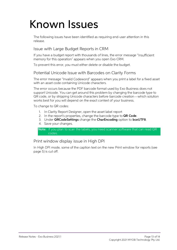# <span id="page-15-0"></span>Known Issues

The following issues have been identified as requiring end-user attention in this release.

#### Issue with Large Budget Reports in CRM

If you have a budget report with thousands of lines, the error message "Insufficient<br>memory for this operation" appears when you open Exo CRM.

To prevent this error, you must either delete or disable the budget.

#### Potential Unicode Issue with Barcodes on Clarity Forms

The error message "Invalid Codeword" appears when you print a label for a fixed asset<br>with an asset code containing Unicode characters.

The error occurs because the PDF barcode format used by Exo Business does not<br>support Unicode. You can get around this problem by changing the barcode type to<br>QR code, or by stripping Unicode characters before barcode crea

To change to QR codes:

- 1. In Clarity Report Designer, open the asset label report
- 2. In the report's properties, change the barcode type to QR Code.
- 3. Under QRCodeSettings change the CharEncoding option to bceUTF8.
- 4. Save your changes.

Note: If you plan to scan the labels, you need scanner software that can read QR codes.

#### Print window display issue in High DPI

In High DPI mode, some of the caption text on the new Print window for reports (see page [5\)](#page-7-1) is cut off.